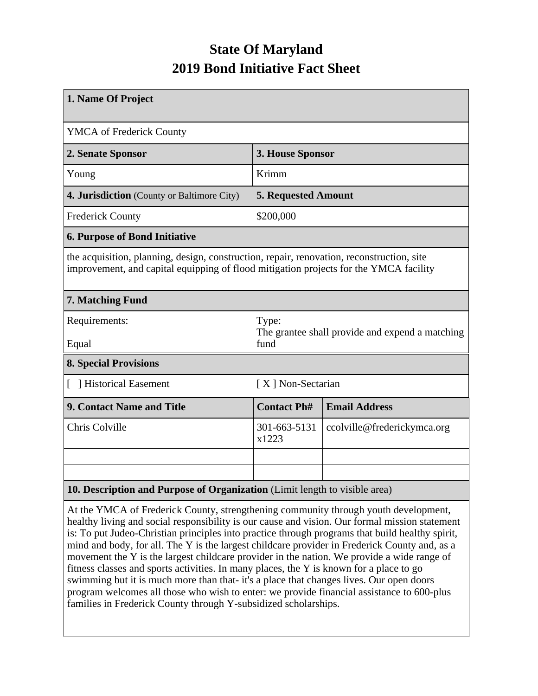## **State Of Maryland 2019 Bond Initiative Fact Sheet**

| 1. Name Of Project                                                                                                                                                                 |                                                                  |                             |  |  |  |
|------------------------------------------------------------------------------------------------------------------------------------------------------------------------------------|------------------------------------------------------------------|-----------------------------|--|--|--|
| <b>YMCA</b> of Frederick County                                                                                                                                                    |                                                                  |                             |  |  |  |
| 2. Senate Sponsor                                                                                                                                                                  | 3. House Sponsor                                                 |                             |  |  |  |
| Young                                                                                                                                                                              | Krimm                                                            |                             |  |  |  |
| 4. Jurisdiction (County or Baltimore City)                                                                                                                                         | <b>5. Requested Amount</b>                                       |                             |  |  |  |
| <b>Frederick County</b>                                                                                                                                                            | \$200,000                                                        |                             |  |  |  |
| <b>6. Purpose of Bond Initiative</b>                                                                                                                                               |                                                                  |                             |  |  |  |
| the acquisition, planning, design, construction, repair, renovation, reconstruction, site<br>improvement, and capital equipping of flood mitigation projects for the YMCA facility |                                                                  |                             |  |  |  |
| 7. Matching Fund                                                                                                                                                                   |                                                                  |                             |  |  |  |
| Requirements:<br>Equal                                                                                                                                                             | Type:<br>The grantee shall provide and expend a matching<br>fund |                             |  |  |  |
| <b>8. Special Provisions</b>                                                                                                                                                       |                                                                  |                             |  |  |  |
| Historical Easement                                                                                                                                                                | [X] Non-Sectarian                                                |                             |  |  |  |
| 9. Contact Name and Title                                                                                                                                                          | <b>Contact Ph#</b>                                               | <b>Email Address</b>        |  |  |  |
| Chris Colville                                                                                                                                                                     | 301-663-5131<br>x1223                                            | ccolville@frederickymca.org |  |  |  |
|                                                                                                                                                                                    |                                                                  |                             |  |  |  |
|                                                                                                                                                                                    |                                                                  |                             |  |  |  |
| 10. Description and Purpose of Organization (Limit length to visible area)                                                                                                         |                                                                  |                             |  |  |  |

At the YMCA of Frederick County, strengthening community through youth development, healthy living and social responsibility is our cause and vision. Our formal mission statement is: To put Judeo-Christian principles into practice through programs that build healthy spirit, mind and body, for all. The Y is the largest childcare provider in Frederick County and, as a movement the Y is the largest childcare provider in the nation. We provide a wide range of fitness classes and sports activities. In many places, the Y is known for a place to go swimming but it is much more than that- it's a place that changes lives. Our open doors program welcomes all those who wish to enter: we provide financial assistance to 600-plus families in Frederick County through Y-subsidized scholarships.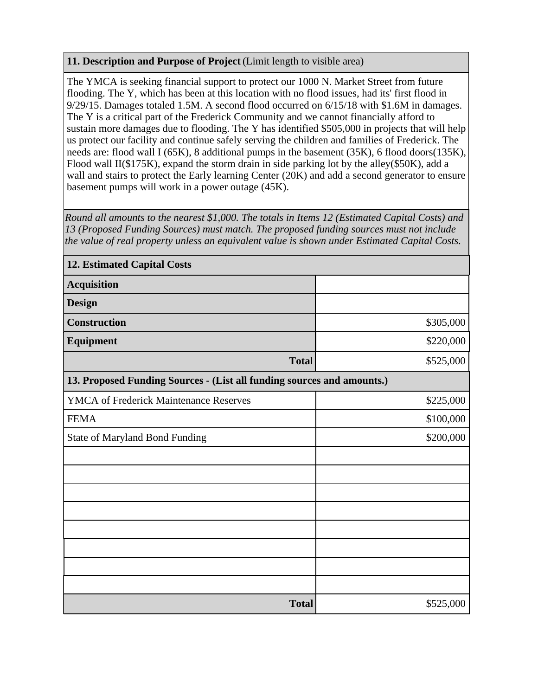## **11. Description and Purpose of Project** (Limit length to visible area)

The YMCA is seeking financial support to protect our 1000 N. Market Street from future flooding. The Y, which has been at this location with no flood issues, had its' first flood in 9/29/15. Damages totaled 1.5M. A second flood occurred on 6/15/18 with \$1.6M in damages. The Y is a critical part of the Frederick Community and we cannot financially afford to sustain more damages due to flooding. The Y has identified \$505,000 in projects that will help us protect our facility and continue safely serving the children and families of Frederick. The needs are: flood wall I (65K), 8 additional pumps in the basement (35K), 6 flood doors(135K), Flood wall II(\$175K), expand the storm drain in side parking lot by the alley(\$50K), add a wall and stairs to protect the Early learning Center (20K) and add a second generator to ensure basement pumps will work in a power outage (45K).

*Round all amounts to the nearest \$1,000. The totals in Items 12 (Estimated Capital Costs) and 13 (Proposed Funding Sources) must match. The proposed funding sources must not include the value of real property unless an equivalent value is shown under Estimated Capital Costs.*

| <b>12. Estimated Capital Costs</b>                                     |           |  |  |  |
|------------------------------------------------------------------------|-----------|--|--|--|
| <b>Acquisition</b>                                                     |           |  |  |  |
| <b>Design</b>                                                          |           |  |  |  |
| <b>Construction</b>                                                    | \$305,000 |  |  |  |
| <b>Equipment</b>                                                       | \$220,000 |  |  |  |
| <b>Total</b>                                                           | \$525,000 |  |  |  |
| 13. Proposed Funding Sources - (List all funding sources and amounts.) |           |  |  |  |
| <b>YMCA of Frederick Maintenance Reserves</b>                          | \$225,000 |  |  |  |
| <b>FEMA</b>                                                            | \$100,000 |  |  |  |
| <b>State of Maryland Bond Funding</b>                                  | \$200,000 |  |  |  |
|                                                                        |           |  |  |  |
|                                                                        |           |  |  |  |
|                                                                        |           |  |  |  |
|                                                                        |           |  |  |  |
|                                                                        |           |  |  |  |
|                                                                        |           |  |  |  |
|                                                                        |           |  |  |  |
|                                                                        |           |  |  |  |
| <b>Total</b>                                                           | \$525,000 |  |  |  |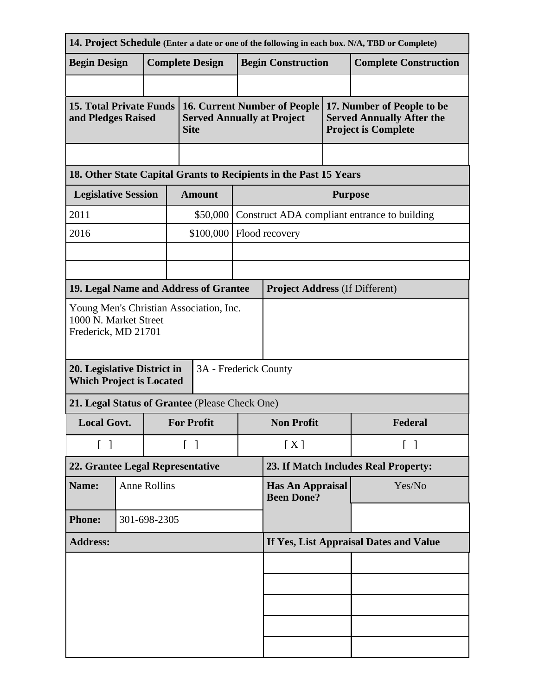| 14. Project Schedule (Enter a date or one of the following in each box. N/A, TBD or Complete) |                            |                     |                                        |                                                                                         |                                              |                                                                   |         |                                                                                              |  |
|-----------------------------------------------------------------------------------------------|----------------------------|---------------------|----------------------------------------|-----------------------------------------------------------------------------------------|----------------------------------------------|-------------------------------------------------------------------|---------|----------------------------------------------------------------------------------------------|--|
| <b>Begin Design</b>                                                                           |                            |                     |                                        | <b>Complete Design</b>                                                                  |                                              | <b>Begin Construction</b>                                         |         | <b>Complete Construction</b>                                                                 |  |
|                                                                                               |                            |                     |                                        |                                                                                         |                                              |                                                                   |         |                                                                                              |  |
| <b>15. Total Private Funds</b><br>and Pledges Raised                                          |                            |                     |                                        | <b>16. Current Number of People</b><br><b>Served Annually at Project</b><br><b>Site</b> |                                              |                                                                   |         | 17. Number of People to be<br><b>Served Annually After the</b><br><b>Project is Complete</b> |  |
|                                                                                               |                            |                     |                                        |                                                                                         |                                              |                                                                   |         |                                                                                              |  |
|                                                                                               |                            |                     |                                        |                                                                                         |                                              | 18. Other State Capital Grants to Recipients in the Past 15 Years |         |                                                                                              |  |
|                                                                                               | <b>Legislative Session</b> |                     |                                        | <b>Amount</b>                                                                           |                                              | <b>Purpose</b>                                                    |         |                                                                                              |  |
| 2011                                                                                          |                            |                     |                                        | \$50,000                                                                                |                                              | Construct ADA compliant entrance to building                      |         |                                                                                              |  |
| 2016                                                                                          |                            |                     |                                        | \$100,000                                                                               |                                              | Flood recovery                                                    |         |                                                                                              |  |
|                                                                                               |                            |                     |                                        |                                                                                         |                                              |                                                                   |         |                                                                                              |  |
|                                                                                               |                            |                     |                                        |                                                                                         |                                              |                                                                   |         |                                                                                              |  |
| 19. Legal Name and Address of Grantee                                                         |                            |                     |                                        |                                                                                         |                                              | <b>Project Address (If Different)</b>                             |         |                                                                                              |  |
| Young Men's Christian Association, Inc.<br>1000 N. Market Street<br>Frederick, MD 21701       |                            |                     |                                        |                                                                                         |                                              |                                                                   |         |                                                                                              |  |
| 3A - Frederick County<br>20. Legislative District in<br><b>Which Project is Located</b>       |                            |                     |                                        |                                                                                         |                                              |                                                                   |         |                                                                                              |  |
| 21. Legal Status of Grantee (Please Check One)                                                |                            |                     |                                        |                                                                                         |                                              |                                                                   |         |                                                                                              |  |
| <b>Local Govt.</b>                                                                            |                            |                     | <b>For Profit</b>                      |                                                                                         | <b>Non Profit</b>                            |                                                                   | Federal |                                                                                              |  |
| $\begin{bmatrix} 1 \end{bmatrix}$                                                             |                            |                     | $\begin{bmatrix} \end{bmatrix}$        |                                                                                         | [X]                                          | $[\ ]$                                                            |         |                                                                                              |  |
| 22. Grantee Legal Representative                                                              |                            |                     | 23. If Match Includes Real Property:   |                                                                                         |                                              |                                                                   |         |                                                                                              |  |
| Name:                                                                                         |                            | <b>Anne Rollins</b> |                                        |                                                                                         | <b>Has An Appraisal</b><br><b>Been Done?</b> |                                                                   | Yes/No  |                                                                                              |  |
| <b>Phone:</b><br>301-698-2305                                                                 |                            |                     |                                        |                                                                                         |                                              |                                                                   |         |                                                                                              |  |
| <b>Address:</b>                                                                               |                            |                     | If Yes, List Appraisal Dates and Value |                                                                                         |                                              |                                                                   |         |                                                                                              |  |
|                                                                                               |                            |                     |                                        |                                                                                         |                                              |                                                                   |         |                                                                                              |  |
|                                                                                               |                            |                     |                                        |                                                                                         |                                              |                                                                   |         |                                                                                              |  |
|                                                                                               |                            |                     |                                        |                                                                                         |                                              |                                                                   |         |                                                                                              |  |
|                                                                                               |                            |                     |                                        |                                                                                         |                                              |                                                                   |         |                                                                                              |  |
|                                                                                               |                            |                     |                                        |                                                                                         |                                              |                                                                   |         |                                                                                              |  |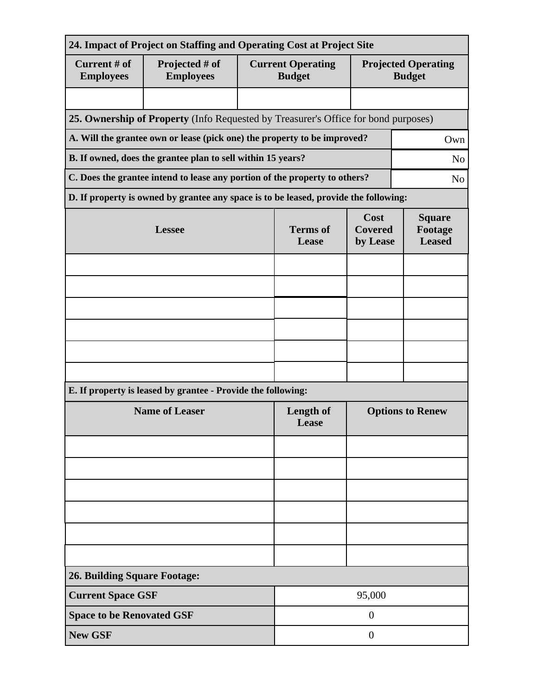| 24. Impact of Project on Staffing and Operating Cost at Project Site          |                                                                                              |  |                                           |                                    |                                             |  |  |
|-------------------------------------------------------------------------------|----------------------------------------------------------------------------------------------|--|-------------------------------------------|------------------------------------|---------------------------------------------|--|--|
| Current # of<br><b>Employees</b>                                              | Projected # of<br><b>Employees</b>                                                           |  | <b>Current Operating</b><br><b>Budget</b> |                                    | <b>Projected Operating</b><br><b>Budget</b> |  |  |
|                                                                               |                                                                                              |  |                                           |                                    |                                             |  |  |
|                                                                               | 25. Ownership of Property (Info Requested by Treasurer's Office for bond purposes)           |  |                                           |                                    |                                             |  |  |
|                                                                               | A. Will the grantee own or lease (pick one) the property to be improved?<br>Own              |  |                                           |                                    |                                             |  |  |
| B. If owned, does the grantee plan to sell within 15 years?<br>N <sub>o</sub> |                                                                                              |  |                                           |                                    |                                             |  |  |
|                                                                               | C. Does the grantee intend to lease any portion of the property to others?<br>N <sub>o</sub> |  |                                           |                                    |                                             |  |  |
|                                                                               | D. If property is owned by grantee any space is to be leased, provide the following:         |  |                                           |                                    |                                             |  |  |
| <b>Lessee</b>                                                                 |                                                                                              |  | <b>Terms</b> of<br>Lease                  | Cost<br><b>Covered</b><br>by Lease | <b>Square</b><br>Footage<br><b>Leased</b>   |  |  |
|                                                                               |                                                                                              |  |                                           |                                    |                                             |  |  |
|                                                                               |                                                                                              |  |                                           |                                    |                                             |  |  |
|                                                                               |                                                                                              |  |                                           |                                    |                                             |  |  |
|                                                                               |                                                                                              |  |                                           |                                    |                                             |  |  |
|                                                                               |                                                                                              |  |                                           |                                    |                                             |  |  |
|                                                                               |                                                                                              |  |                                           |                                    |                                             |  |  |
|                                                                               | E. If property is leased by grantee - Provide the following:                                 |  |                                           |                                    |                                             |  |  |
| <b>Name of Leaser</b>                                                         |                                                                                              |  | Length of<br>Lease                        | <b>Options to Renew</b>            |                                             |  |  |
|                                                                               |                                                                                              |  |                                           |                                    |                                             |  |  |
|                                                                               |                                                                                              |  |                                           |                                    |                                             |  |  |
|                                                                               |                                                                                              |  |                                           |                                    |                                             |  |  |
|                                                                               |                                                                                              |  |                                           |                                    |                                             |  |  |
|                                                                               |                                                                                              |  |                                           |                                    |                                             |  |  |
|                                                                               |                                                                                              |  |                                           |                                    |                                             |  |  |
| <b>26. Building Square Footage:</b>                                           |                                                                                              |  |                                           |                                    |                                             |  |  |
|                                                                               | <b>Current Space GSF</b><br>95,000                                                           |  |                                           |                                    |                                             |  |  |
| <b>Space to be Renovated GSF</b>                                              |                                                                                              |  | $\overline{0}$                            |                                    |                                             |  |  |
| <b>New GSF</b>                                                                |                                                                                              |  |                                           | $\theta$                           |                                             |  |  |